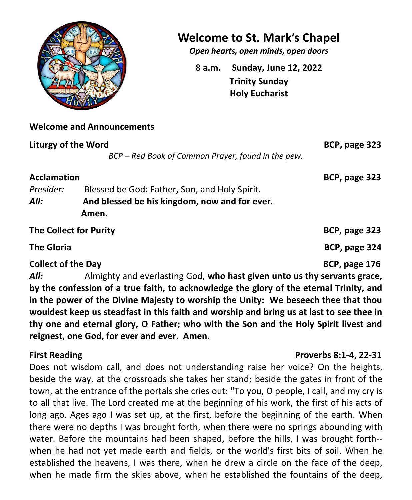

# **Welcome to St. Mark's Chapel**

*Open hearts, open minds, open doors*

**8 a.m. Sunday, June 12, 2022 Trinity Sunday Holy Eucharist**

# **Welcome and Announcements**

| <b>Liturgy of the Word</b> |                                                    | BCP, page 323 |
|----------------------------|----------------------------------------------------|---------------|
|                            | BCP - Red Book of Common Prayer, found in the pew. |               |
| <b>Acclamation</b>         |                                                    | BCP, page 323 |
| Presider:                  | Blessed be God: Father, Son, and Holy Spirit.      |               |
| All:                       | And blessed be his kingdom, now and for ever.      |               |
|                            | Amen.                                              |               |
| The Collect for Purity     |                                                    | BCP, page 323 |
| <b>The Gloria</b>          |                                                    | BCP, page 324 |
| <b>Collect of the Day</b>  |                                                    | BCP, page 176 |

*All:* Almighty and everlasting God, **who hast given unto us thy servants grace, by the confession of a true faith, to acknowledge the glory of the eternal Trinity, and in the power of the Divine Majesty to worship the Unity: We beseech thee that thou wouldest keep us steadfast in this faith and worship and bring us at last to see thee in thy one and eternal glory, O Father; who with the Son and the Holy Spirit livest and reignest, one God, for ever and ever. Amen.**

## **First Reading Proverbs 8:1-4, 22-31**

Does not wisdom call, and does not understanding raise her voice? On the heights, beside the way, at the crossroads she takes her stand; beside the gates in front of the town, at the entrance of the portals she cries out: "To you, O people, I call, and my cry is to all that live. The Lord created me at the beginning of his work, the first of his acts of long ago. Ages ago I was set up, at the first, before the beginning of the earth. When there were no depths I was brought forth, when there were no springs abounding with water. Before the mountains had been shaped, before the hills, I was brought forth- when he had not yet made earth and fields, or the world's first bits of soil. When he established the heavens, I was there, when he drew a circle on the face of the deep, when he made firm the skies above, when he established the fountains of the deep,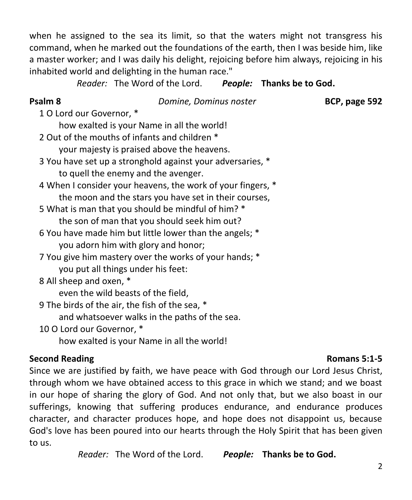when he assigned to the sea its limit, so that the waters might not transgress his command, when he marked out the foundations of the earth, then I was beside him, like a master worker; and I was daily his delight, rejoicing before him always, rejoicing in his inhabited world and delighting in the human race."

*Reader:* The Word of the Lord. *People:* **Thanks be to God.**

**Psalm 8** *Domine, Dominus noster* **BCP, page 592**

1 O Lord our Governor, \*

how exalted is your Name in all the world!

2 Out of the mouths of infants and children \*

your majesty is praised above the heavens.

- 3 You have set up a stronghold against your adversaries, \* to quell the enemy and the avenger.
- 4 When I consider your heavens, the work of your fingers, \* the moon and the stars you have set in their courses,
- 5 What is man that you should be mindful of him? \* the son of man that you should seek him out?
- 6 You have made him but little lower than the angels; \* you adorn him with glory and honor;
- 7 You give him mastery over the works of your hands; \* you put all things under his feet:
- 8 All sheep and oxen, \*

even the wild beasts of the field,

9 The birds of the air, the fish of the sea, \* and whatsoever walks in the paths of the sea.

10 O Lord our Governor, \*

how exalted is your Name in all the world!

# **Second Reading Romans 5:1-5**

Since we are justified by faith, we have peace with God through our Lord Jesus Christ, through whom we have obtained access to this grace in which we stand; and we boast in our hope of sharing the glory of God. And not only that, but we also boast in our sufferings, knowing that suffering produces endurance, and endurance produces character, and character produces hope, and hope does not disappoint us, because God's love has been poured into our hearts through the Holy Spirit that has been given to us.

*Reader:* The Word of the Lord. *People:* **Thanks be to God.**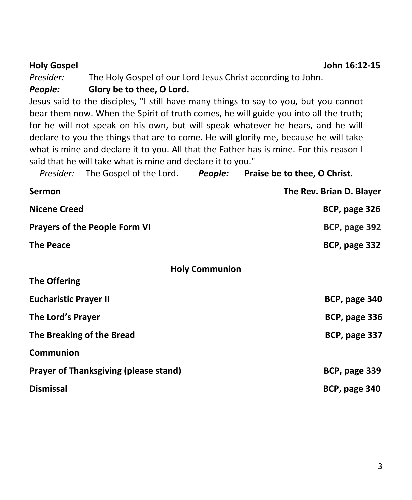| <b>Holy Gospel</b>                           |                                                                                 |                       | John 16:12-15                                                                          |  |  |  |
|----------------------------------------------|---------------------------------------------------------------------------------|-----------------------|----------------------------------------------------------------------------------------|--|--|--|
| Presider:                                    | The Holy Gospel of our Lord Jesus Christ according to John.                     |                       |                                                                                        |  |  |  |
| People:                                      | Glory be to thee, O Lord.                                                       |                       |                                                                                        |  |  |  |
|                                              |                                                                                 |                       | Jesus said to the disciples, "I still have many things to say to you, but you cannot   |  |  |  |
|                                              |                                                                                 |                       | bear them now. When the Spirit of truth comes, he will guide you into all the truth;   |  |  |  |
|                                              | for he will not speak on his own, but will speak whatever he hears, and he will |                       |                                                                                        |  |  |  |
|                                              |                                                                                 |                       | declare to you the things that are to come. He will glorify me, because he will take   |  |  |  |
|                                              |                                                                                 |                       | what is mine and declare it to you. All that the Father has is mine. For this reason I |  |  |  |
|                                              | said that he will take what is mine and declare it to you."                     |                       |                                                                                        |  |  |  |
| Presider:                                    |                                                                                 |                       | The Gospel of the Lord. People: Praise be to thee, O Christ.                           |  |  |  |
| <b>Sermon</b>                                |                                                                                 |                       | The Rev. Brian D. Blayer                                                               |  |  |  |
| <b>Nicene Creed</b>                          |                                                                                 |                       | BCP, page 326                                                                          |  |  |  |
| <b>Prayers of the People Form VI</b>         |                                                                                 |                       | BCP, page 392                                                                          |  |  |  |
| <b>The Peace</b>                             |                                                                                 |                       | BCP, page 332                                                                          |  |  |  |
|                                              |                                                                                 | <b>Holy Communion</b> |                                                                                        |  |  |  |
| <b>The Offering</b>                          |                                                                                 |                       |                                                                                        |  |  |  |
| <b>Eucharistic Prayer II</b>                 |                                                                                 |                       | BCP, page 340                                                                          |  |  |  |
| The Lord's Prayer                            |                                                                                 |                       | BCP, page 336                                                                          |  |  |  |
| The Breaking of the Bread                    |                                                                                 |                       | BCP, page 337                                                                          |  |  |  |
| Communion                                    |                                                                                 |                       |                                                                                        |  |  |  |
| <b>Prayer of Thanksgiving (please stand)</b> |                                                                                 |                       | BCP, page 339                                                                          |  |  |  |
| <b>Dismissal</b>                             |                                                                                 |                       | BCP, page 340                                                                          |  |  |  |